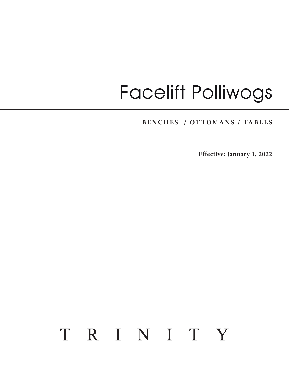# **Facelift Polliwogs**

**BENCHES / OTTOMANS / TABLES**

**Effective: January 1, 2022**

# TRINITY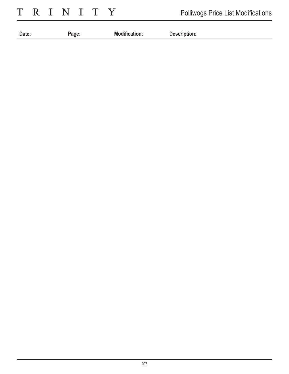TRINITY

| Date: | age, | .<br>Mo<br>nification.<br>. | Description:<br>. |
|-------|------|-----------------------------|-------------------|
|       |      |                             |                   |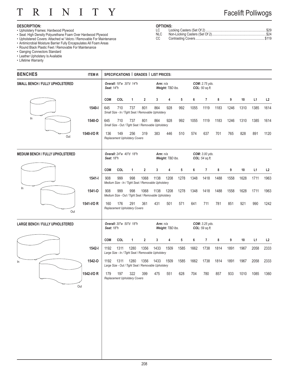#### R  $\mathbf I$ N  $\mathbf I$ T Y T

### Facelift Polliwogs

### **DESCRIPTION:**

- Upholstery Frames: Hardwood Plywood
- Seat: High Density Polyurethane Foam Over Hardwood Plywood
- Upholstered Covers: Attached w/ Velcro / Removable For Maintenance
- Antimicrobial Moisture Barrier Fully Encapsulates All Foam Areas
- Round Black Plastic Feet / Removable For Maintenance
- Ganging Connectors Standard
- Leather Upholstery Is Available
- Lifetime Warranty

### **OPTIONS:**

|       | ישוועו וט |  |
|-------|-----------|--|
| LC.   |           |  |
| NLC I |           |  |
| CС    |           |  |
|       |           |  |

| <b>BENCHES</b>                          | ITEM#:     |            |                                      |              |                | SPECIFICATIONS   GRADES   LIST PRICES:                        |                  |      |      |                                                |      |      |      |      |      |
|-----------------------------------------|------------|------------|--------------------------------------|--------------|----------------|---------------------------------------------------------------|------------------|------|------|------------------------------------------------|------|------|------|------|------|
| SMALL BENCH / FULLY UPHOLSTERED         |            | Seat: 14"h | Overall: 18"w 30"d 14"h              |              |                | Arm: $n/a$                                                    | Weight: TBD lbs. |      |      | <b>COM:</b> 2.75 yds.<br>COL: 50 sq.ft.        |      |      |      |      |      |
|                                         |            | COM        | COL                                  | $\mathbf{1}$ | $\overline{2}$ | 3                                                             | 4                | 5    | 6    | $\overline{7}$                                 | 8    | 9    | 10   | L1   | L2   |
|                                         | 1540-l     | 645        | 710                                  | 737          | 801            | 864<br>Small Size - In / Tight Seat / Removable Upholstery    | 928              | 992  | 1055 | 1119                                           | 1183 | 1246 | 1310 | 1385 | 1614 |
| In                                      | 1540-O     | 645        | 710                                  | 737          | 801            | 864<br>Small Size - Out / Tight Seat / Removable Upholstery   | 928              | 992  | 1055 | 1119                                           | 1183 | 1246 | 1310 | 1385 | 1614 |
| Out                                     | 1540-I/O R | 136        | 149<br>Replacement Upholstery Covers | 256          | 319            | 383                                                           | 446              | 510  | 574  | 637                                            | 701  | 765  | 828  | 891  | 1120 |
| <b>MEDIUM BENCH / FULLY UPHOLSTERED</b> |            | Seat: 18"h | Overall: 24"w 40"d 18"h              |              |                | Arm: n/a                                                      | Weight: TBD lbs. |      |      | <b>COM:</b> 3.00 yds.<br>COL: 54 sq.ft.        |      |      |      |      |      |
|                                         |            | COM        | COL                                  | $\mathbf{1}$ | $\overline{2}$ | 3                                                             | 4                | 5    | 6    | $\overline{7}$                                 | 8    | 9    | 10   | L1   | L2   |
|                                         | 1541-l     | 908        | 999                                  | 998          | 1068           | 1138<br>Medium Size - In / Tight Seat / Removable Upholstery  | 1208             | 1278 | 1348 | 1418                                           | 1488 | 1558 | 1628 | 1711 | 1963 |
| In                                      | 1541-O     | 908        | 999                                  | 998          | 1068           | 1138<br>Medium Size - Out / Tight Seat / Removable Upholstery | 1208             | 1278 | 1348 | 1418                                           | 1488 | 1558 | 1628 | 1711 | 1963 |
| Out                                     | 1541-I/O R | 160        | 176<br>Replacement Upholstery Covers | 291          | 361            | 431                                                           | 501              | 571  | 641  | 711                                            | 781  | 851  | 921  | 990  | 1242 |
| <b>LARGE BENCH / FULLY UPHOLSTERED</b>  |            | Seat: 18"h | Overall: 30"w 50"d 18"h              |              |                | Arm: n/a                                                      | Weight: TBD lbs. |      |      | <b>COM:</b> 3.25 yds.<br><b>COL:</b> 59 sq.ft. |      |      |      |      |      |
|                                         |            | COM        | COL                                  | $\mathbf{1}$ | $\overline{2}$ | 3                                                             | 4                | 5    | 6    | $\overline{7}$                                 | 8    | 9    | 10   | L1   | L2   |
|                                         | $1542 - 1$ | 1192       | 1311                                 | 1280         | 1356           | 1433<br>Large Size - In / Tight Seat / Removable Upholstery   | 1509             | 1585 | 1662 | 1738                                           | 1814 | 1891 | 1967 | 2058 | 2333 |
| In.                                     | 1542-0     | 1192       | 1311                                 | 1280         | 1356           | 1433<br>Large Size - Out / Tight Seat / Removable Upholstery  | 1509             | 1585 | 1662 | 1738                                           | 1814 | 1891 | 1967 | 2058 | 2333 |
|                                         | 1542-I/O R | 179        | 197<br>Replacement Upholstery Covers | 322          | 399            | 475                                                           | 551              | 628  | 704  | 780                                            | 857  | 933  | 1010 | 1085 | 1360 |
|                                         | Out        |            |                                      |              |                |                                                               |                  |      |      |                                                |      |      |      |      |      |
|                                         |            |            |                                      |              |                |                                                               |                  |      |      |                                                |      |      |      |      |      |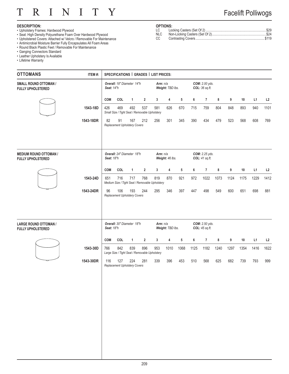#### R  $\overline{I}$ N  $\mathbf I$ T Y T

## Facelift Polliwogs

### **DESCRIPTION:**

- Upholstery Frames: Hardwood Plywood
- Seat: High Density Polyurethane Foam Over Hardwood Plywood
- Upholstered Covers: Attached w/ Velcro / Removable For Maintenance
- Antimicrobial Moisture Barrier Fully Encapsulates All Foam Areas
- Round Black Plastic Feet / Removable For Maintenance
- Ganging Connectors Standard
- Leather Upholstery Is Available
- Lifetime Warranty

### **OPTIONS:**

| LC.<br>NLC. |  |
|-------------|--|
|             |  |
|             |  |
| CС          |  |

| <b>OTTOMANS</b>                                           | ITEM#:    |            | SPECIFICATIONS   GRADES   LIST PRICES: |                                      |                                                       |                                                        |                  |                 |      |                                  |      |      |      |      |      |
|-----------------------------------------------------------|-----------|------------|----------------------------------------|--------------------------------------|-------------------------------------------------------|--------------------------------------------------------|------------------|-----------------|------|----------------------------------|------|------|------|------|------|
| <b>SMALL ROUND OTTOMAN /</b><br>FULLY UPHOLSTERED         |           | Seat: 14"h |                                        | Overall: 18" Diameter 14"h           |                                                       | Arm: n/a                                               | Weight: TBD lbs. |                 |      | COM: 2.00 yds.<br>COL: 36 sq.ft. |      |      |      |      |      |
|                                                           |           | <b>COM</b> | COL                                    | $\mathbf{1}$                         | $\overline{2}$                                        | 3                                                      | 4                | 5               | 6    | $\overline{7}$                   | 8    | 9    | 10   | L1   | L2   |
|                                                           | 1543-18D  | 426        | 469                                    | 492                                  | 537<br>Small Size / Tight Seat / Removable Upholstery | 581                                                    | 626              | 670             | 715  | 759                              | 804  | 848  | 893  | 940  | 1101 |
|                                                           | 1543-18DR | 82         | 91                                     | 167<br>Replacement Upholstery Covers | 212                                                   | 256                                                    | 301              | 345             | 390  | 434                              | 479  | 523  | 568  | 608  | 769  |
| <b>MEDIUM ROUND OTTOMAN /</b><br><b>FULLY UPHOLSTERED</b> |           | Seat: 18"h |                                        | Overall: 24" Diameter 18"h           |                                                       | Arm: n/a                                               | Weight: 46 lbs.  |                 |      | COM: 2.25 yds.<br>COL: 41 sq.ft. |      |      |      |      |      |
|                                                           |           | <b>COM</b> | COL                                    | $\mathbf{1}$                         | $\overline{2}$                                        | 3                                                      | 4                | $5\phantom{.0}$ | 6    | $\overline{7}$                   | 8    | 9    | 10   | L1   | L2   |
|                                                           | 1543-24D  | 651        | 716                                    | 717                                  | 768                                                   | 819<br>Medium Size / Tight Seat / Removable Upholstery | 870              | 921             | 972  | 1022                             | 1073 | 1124 | 1175 | 1229 | 1412 |
|                                                           | 1543-24DR | 96         | 106                                    | 193<br>Replacement Upholstery Covers | 244                                                   | 295                                                    | 346              | 397             | 447  | 498                              | 549  | 600  | 651  | 698  | 881  |
| <b>LARGE ROUND OTTOMAN /</b><br><b>FULLY UPHOLSTERED</b>  |           | Seat: 18"h |                                        | Overall: 30" Diameter 18"h           |                                                       | Arm: n/a                                               | Weight: TBD lbs. |                 |      | COM: 2.50 yds.<br>COL: 45 sq.ft. |      |      |      |      |      |
|                                                           |           | <b>COM</b> | COL                                    | $\mathbf{1}$                         | $\overline{2}$                                        | 3                                                      | 4                | $\sqrt{5}$      | 6    | $\overline{7}$                   | 8    | 9    | 10   | L1   | L2   |
|                                                           | 1543-30D  | 766        | 842                                    | 839                                  | 896<br>Large Size / Tight Seat / Removable Upholstery | 953                                                    | 1010             | 1068            | 1125 | 1182                             | 1240 | 1297 | 1354 | 1416 | 1622 |
|                                                           | 1543-30DR | 116        | 127                                    | 224<br>Replacement Upholstery Covers | 281                                                   | 339                                                    | 396              | 453             | 510  | 568                              | 625  | 682  | 739  | 793  | 999  |
|                                                           |           |            |                                        |                                      |                                                       |                                                        |                  |                 |      |                                  |      |      |      |      |      |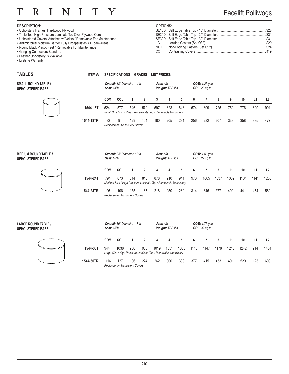#### R  $\mathbf I$ N  $\mathbf I$ T Y T

## Facelift Polliwogs

### **DESCRIPTION:**

- Upholstery Frames: Hardwood Plywood
- Table Top: High Pressure Laminate Top Over Plywood Core
- Upholstered Covers: Attached w/ Velcro / Removable For Maintenance
- Antimicrobial Moisture Barrier Fully Encapsulates All Foam Areas
- Round Black Plastic Feet / Removable For Maintenance
- Ganging Connectors Standard
- Leather Upholstery Is Available
- Lifetime Warranty

### **OPTIONS:**

| LC —       |  |
|------------|--|
| <b>NLC</b> |  |
| CC         |  |
|            |  |

| <b>TABLES</b>                                          | ITEM#:    |            | SPECIFICATIONS   GRADES   LIST PRICES: |              |                |                                                                        |                  |      |      |                                  |      |      |      |      |      |
|--------------------------------------------------------|-----------|------------|----------------------------------------|--------------|----------------|------------------------------------------------------------------------|------------------|------|------|----------------------------------|------|------|------|------|------|
| <b>SMALL ROUND TABLE /</b><br><b>UPHOLSTERED BASE</b>  |           | Seat: 14"h | Overall: 18" Diameter 14"h             |              |                | Arm: $n/a$                                                             | Weight: TBD lbs. |      |      | COM: 1.25 yds.<br>COL: 23 sq.ft. |      |      |      |      |      |
|                                                        |           | <b>COM</b> | COL                                    | $\mathbf{1}$ | $\overline{2}$ | 3                                                                      | 4                | 5    | 6    | $\overline{7}$                   | 8    | 9    | 10   | L1   | L2   |
|                                                        | 1544-18T  | 524        | 577                                    | 546          | 572            | 597<br>Small Size / High Pressure Laminate Top / Removable Upholstery  | 623              | 648  | 674  | 699                              | 725  | 750  | 776  | 809  | 901  |
|                                                        | 1544-18TR | 82         | 91<br>Replacement Upholstery Covers    | 129          | 154            | 180                                                                    | 205              | 231  | 256  | 282                              | 307  | 333  | 358  | 385  | 477  |
| <b>MEDIUM ROUND TABLE /</b><br><b>UPHOLSTERED BASE</b> |           | Seat: 18"h | Overall: 24" Diameter 18"h             |              |                | Arm: n/a                                                               | Weight: TBD lbs. |      |      | COM: 1.50 yds.<br>COL: 27 sq.ft. |      |      |      |      |      |
|                                                        |           | <b>COM</b> | COL                                    | $\mathbf{1}$ | $\overline{2}$ | 3                                                                      | 4                | 5    | 6    | $\overline{7}$                   | 8    | 9    | 10   | L1   | L2   |
|                                                        | 1544-24T  | 794        | 873                                    | 814          | 846            | 878<br>Medium Size / High Pressure Laminate Top / Removable Upholstery | 910              | 941  | 973  | 1005                             | 1037 | 1069 | 1101 | 1141 | 1256 |
|                                                        | 1544-24TR | 96         | 106<br>Replacement Upholstery Covers   | 155          | 187            | 218                                                                    | 250              | 282  | 314  | 346                              | 377  | 409  | 441  | 474  | 589  |
| <b>LARGE ROUND TABLE /</b><br>UPHOLSTERED BASE         |           | Seat: 18"h | Overall: 30" Diameter 18"h             |              |                | Arm: n/a                                                               | Weight: TBD lbs. |      |      | COM: 1.75 yds.<br>COL: 32 sq.ft. |      |      |      |      |      |
|                                                        |           | <b>COM</b> | COL                                    | $\mathbf{1}$ | $\overline{2}$ | 3                                                                      | 4                | 5    | 6    | $\overline{7}$                   | 8    | 9    | 10   | L1   | L2   |
|                                                        | 1544-30T  | 944        | 1038                                   | 956          | 988            | 1019<br>Large Size / High Pressure Laminate Top / Removable Upholstery | 1051             | 1083 | 1115 | 1147                             | 1178 | 1210 | 1242 | 914  | 1401 |
|                                                        | 1544-30TR | 116        | 127<br>Replacement Upholstery Covers   | 186          | 224            | 262                                                                    | 300              | 339  | 377  | 415                              | 453  | 491  | 529  | 123  | 609  |
|                                                        |           |            |                                        |              |                |                                                                        |                  |      |      |                                  |      |      |      |      |      |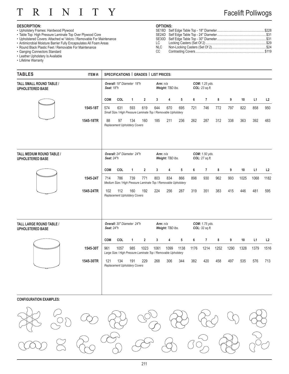#### T R  $\overline{I}$ N  $\overline{I}$ T Y

## Facelift Polliwogs

### **DESCRIPTION:**

- Upholstery Frames: Hardwood Plywood
- Table Top: High Pressure Laminate Top Over Plywood Core
- Upholstered Covers: Attached w/ Velcro / Removable For Maintenance
- Antimicrobial Moisture Barrier Fully Encapsulates All Foam Areas
- Round Black Plastic Feet / Removable For Maintenance
- Ganging Connectors Standard
- Leather Upholstery Is Available
- Lifetime Warranty

### **OPTIONS:**

| LC —       |  |
|------------|--|
| <b>NLC</b> |  |
| CC         |  |
|            |  |

| <b>TABLES</b>                                        | ITEM#:    |            |                                             |              | SPECIFICATIONS   GRADES   LIST PRICES:                                 |                                |                  |      |      |                                         |      |      |      |      |      |
|------------------------------------------------------|-----------|------------|---------------------------------------------|--------------|------------------------------------------------------------------------|--------------------------------|------------------|------|------|-----------------------------------------|------|------|------|------|------|
| TALL SMALL ROUND TABLE /<br><b>UPHOLSTERED BASE</b>  |           | Seat: 18"h | Overall: 18" Diameter 18"h                  |              |                                                                        | Arm: $n/a$<br>Weight: TBD lbs. |                  |      |      | <b>COM:</b> 1.25 yds.<br>COL: 23 sq.ft. |      |      |      |      |      |
|                                                      |           | COM        | COL                                         | $\mathbf{1}$ | $\overline{2}$                                                         | 3                              | 4                | 5    | 6    | $\overline{7}$                          | 8    | 9    | 10   | L1   | L2   |
|                                                      | 1545-18T  | 574        | 631                                         | 593          | 619<br>Small Size / High Pressure Laminate Top / Removable Upholstery  | 644                            | 670              | 695  | 721  | 746                                     | 772  | 797  | 822  | 858  | 950  |
|                                                      | 1545-18TR | 88         | 97<br><b>Replacement Upholstery Covers</b>  | 134          | 160                                                                    | 185                            | 211              | 236  | 262  | 287                                     | 312  | 338  | 363  | 392  | 483  |
| TALL MEDIUM ROUND TABLE /<br><b>UPHOLSTERED BASE</b> |           | Seat: 24"h | Overall: 24" Diameter 24"h                  |              |                                                                        | Arm: n/a                       | Weight: TBD lbs. |      |      | COM: 1.50 yds.<br>COL: 27 sq.ft.        |      |      |      |      |      |
|                                                      |           | <b>COM</b> | COL                                         | $\mathbf{1}$ | $\overline{2}$                                                         | 3                              | 4                | 5    | 6    | $\overline{7}$                          | 8    | 9    | 10   | L1   | L2   |
|                                                      | 1545-24T  | 714        | 786                                         | 739          | 771<br>Medium Size / High Pressure Laminate Top / Removable Upholstery | 803                            | 834              | 866  | 898  | 930                                     | 962  | 993  | 1025 | 1068 | 1182 |
|                                                      | 1545-24TR | 102        | 112<br><b>Replacement Upholstery Covers</b> | 160          | 192                                                                    | 224                            | 256              | 287  | 319  | 351                                     | 383  | 415  | 446  | 481  | 595  |
| TALL LARGE ROUND TABLE /<br><b>UPHOLSTERED BASE</b>  |           | Seat: 24"h | Overall: 30" Diameter 24"h                  |              |                                                                        | Arm: $n/a$                     | Weight: TBD lbs. |      |      | COM: 1.75 yds.<br>$COL: 32$ sq.ft.      |      |      |      |      |      |
|                                                      |           | <b>COM</b> | COL                                         | $\mathbf{1}$ | $\overline{2}$                                                         | 3                              | 4                | 5    | 6    | $\overline{7}$                          | 8    | 9    | 10   | L1   | L2   |
|                                                      | 1545-30T  | 961        | 1057                                        | 985          | 1023<br>Large Size / High Pressure Laminate Top / Removable Upholstery | 1061                           | 1099             | 1138 | 1176 | 1214                                    | 1252 | 1290 | 1328 | 1379 | 1516 |
|                                                      | 1545-30TR | 121        | 134<br><b>Replacement Upholstery Covers</b> | 191          | 229                                                                    | 268                            | 306              | 344  | 382  | 420                                     | 458  | 497  | 535  | 576  | 713  |

#### **CONFIGURATION EXAMPLES:**